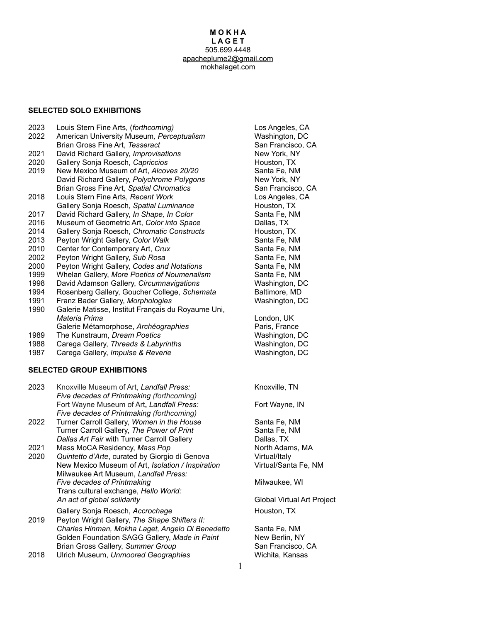#### **M O K H A L A G E T** 505.699.4448 [apacheplume2@gmail.com](mailto:apacheplume2@gmail.com) mokhalaget.com

#### **SELECTED SOLO EXHIBITIONS**

- 2023 Louis Stern Fine Arts, (*forthcoming)* Los Angeles, CA
- 2022 American University Museum*, Perceptualism* Washington, DC
- Brian Gross Fine Art, *Tesseract* San Francisco, CA
- 2021 David Richard Gallery, *Improvisations* New York, NY
- 2020 Gallery Sonja Roesch, *Capriccios* Houston, TX
- 2019 New Mexico Museum of Art, *Alcoves 20/20* Santa Fe, NM David Richard Gallery, *Polychrome Polygons* New York, NY Brian Gross Fine Art, *Spatial Chromatics* San Francisco, CA
- 2018 Louis Stern Fine Arts, *Recent Work* Los Angeles, CA Gallery Sonia Roesch, *Spatial Luminance* **Houston, Houston, TX**
- 2017 David Richard Gallery, *In Shape, In Color* Santa Fe, NM
- 2016 Museum of Geometric Art, *Color into Space* Dallas, TX
- 2014 Gallery Sonja Roesch, *Chromatic Constructs* Houston, TX
- 2013 Peyton Wright Gallery, *Color Walk* Santa Fe, NM
- 2010 Center for Contemporary Art, Crux Santa Fe, NM
- 2002 Peyton Wright Gallery, *Sub Rosa* Santa Fe, NM
- 2000 Peyton Wright Gallery, *Codes and Notations* Santa Fe, NM
- 1999 Whelan Gallery, More Poetics of Noumenalism Santa Fe, NM
- 1998 David Adamson Gallery, *Circumnavigations* Washington, DC
- 1994 Rosenberg Gallery, Goucher College, *Schemata* Baltimore, MD
- 1991 Franz Bader Gallery, *Morphologies* Washington, DC
- 1990 Galerie Matisse, Institut Français du Royaume Uni, *Materia Prima* London, UK
- Galerie Métamorphose, *Archéographies* Paris, France
- 1989 The Kunstraum, *Dream Poetics* Washington, DC
- 1988 Carega Gallery, *Threads & Labyrinths* **Washington, DC**
- 1987 Carega Gallery, *Impulse & Reverie* Washington, DC

#### **SELECTED GROUP EXHIBITIONS**

2023 Knoxville Museum of Art, *Landfall Press:* Knoxville, TN *Five decades of Printmaking (forthcoming)* Fort Wayne Museum of Art, *Landfall Press:* Fort Wayne, IN *Five decades of Printmaking (forthcoming)* 2022 Turner Carroll Gallery, *Women in the House* Santa Fe, NM Turner Carroll Gallery, *The Power of Print* Santa Fe, NM **Dallas Art Fair with Turner Carroll Gallery Callas, TX** 2021 Mass MoCA Residency, Mass Pop North Adams, MA 2020 *Quintetto d'Arte*, curated by Giorgio di Genova Virtual/Italy New Mexico Museum of Art, *Isolation / Inspiration* Virtual/Santa Fe, NM Milwaukee Art Museum, *Landfall Press: Five decades of Printmaking* Milwaukee, WI Trans cultural exchange, *Hello World: An act of global solidarity* Global Virtual Art Project Gallery Sonja Roesch, *Accrochage* Houston, TX 2019 Peyton Wright Gallery, *The Shape Shifters II: Charles Hinman, Mokha Laget, Angelo Di Benedetto* Santa Fe, NM Golden Foundation SAGG Gallery, Made in Paint New Berlin, NY Brian Gross Gallery, *Summer Group* San Francisco, CA

2018 Ulrich Museum, *Unmoored Geographies* Wichita, Kansas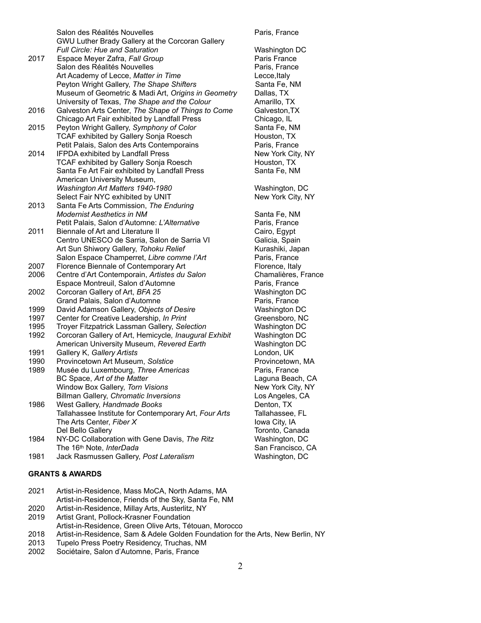Salon des Réalités Nouvelles **Australie**s Paris, France GWU Luther Brady Gallery at the Corcoran Gallery *Full Circle: Hue and Saturation* Washington DC 2017 Espace Meyer Zafra, Fall Group **Paris France** Paris France Salon des Réalités Nouvelles **Paris, France** Art Academy of Lecce, *Matter in Time* Lecce,Italy Peyton Wright Gallery, *The Shape Shifters* Santa Fe, NM Museum of Geometric & Madi Art, *Origins in Geometry* Dallas, TX University of Texas, *The Shape and the Colour* Amarillo, TX 2016 Galveston Arts Center, *The Shape of Things to Come* Galveston,TX Chicago Art Fair exhibited by Landfall Press Chicago, IL 2015 Peyton Wright Gallery, *Symphony of Color* Santa Fe, NM TCAF exhibited by Gallery Sonja Roesch Houston, TX Petit Palais, Salon des Arts Contemporains Paris, France 2014 IFPDA exhibited by Landfall Press New York City, NY TCAF exhibited by Gallery Sonja Roesch Houston, TX Santa Fe Art Fair exhibited by Landfall Press Santa Fe, NM American University Museum, Washington Art Matters 1940-1980 Washington, DC Select Fair NYC exhibited by UNIT New York City, NY 2013 Santa Fe Arts Commission, *The Enduring Modernist Aesthetics in NM* Santa Fe, NM Petit Palais, Salon d'Automne: L'Alternative Paris, France 2011 Biennale of Art and Literature II Cairo, Egypt Centro UNESCO de Sarria, Salon de Sarria VI Galicia, Spain Art Sun Shiwory Gallery, *Tohoku Relief* Kurashiki, Japan Salon Espace Champerret, *Libre comme l'Art* Paris, France 2007 Florence Biennale of Contemporary Art Florence, Italy 2006 Centre d'Art Contemporain, *Artistes du Salon* Chamalières, France Espace Montreuil, Salon d'Automne Paris, France 2002 Corcoran Gallery of Art, *BFA 25* Washington DC Grand Palais, Salon d'Automne **Paris**, France 1999 David Adamson Gallery, *Objects of Desire* Washington DC 1997 Center for Creative Leadership, *In Print* Greensboro, NC 1995 Troyer Fitzpatrick Lassman Gallery, *Selection* Washington DC 1992 Corcoran Gallery of Art, Hemicycle*, Inaugural Exhibit* Washington DC American University Museum, *Revered Earth* Washington DC 1991 Gallery K, *Gallery Artists* London, UK 1990 Provincetown Art Museum, *Solstice* Provincetown, MA 1989 Musée du Luxembourg, *Three Americas* Paris, France BC Space, *Art of the Matter* **Laguna Beach, CA** Window Box Gallery, *Torn Visions* New York City, NY Billman Gallery, *Chromatic Inversions* Los Angeles, CA 1986 West Gallery, *Handmade Books* **Communist Contract Contract Property** Denton, TX Tallahassee Institute for Contemporary Art, *Four Arts* Tallahassee, FL The Arts Center, *Fiber X* Iowa City, IA Del Bello Gallery Toronto, Canada 1984 NY-DC Collaboration with Gene Davis, *The Ritz* Washington, DC The 16<sup>th</sup> Note, *InterDada* San Francisco, CA 1981 Jack Rasmussen Gallery, *Post Lateralism* Washington, DC

## **GRANTS & AWARDS**

2021 Artist-in-Residence, Mass MoCA, North Adams, MA Artist-in-Residence, Friends of the Sky, Santa Fe, NM

- 2020 Artist-in-Residence, Millay Arts, Austerlitz, NY
- 2019 Artist Grant, Pollock-Krasner Foundation
- Artist-in-Residence, Green Olive Arts, Tétouan, Morocco
- 2018 Artist-in-Residence, Sam & Adele Golden Foundation for the Arts, New Berlin, NY
- 2013 Tupelo Press Poetry Residency, Truchas, NM
- 2002 Sociétaire, Salon d'Automne, Paris, France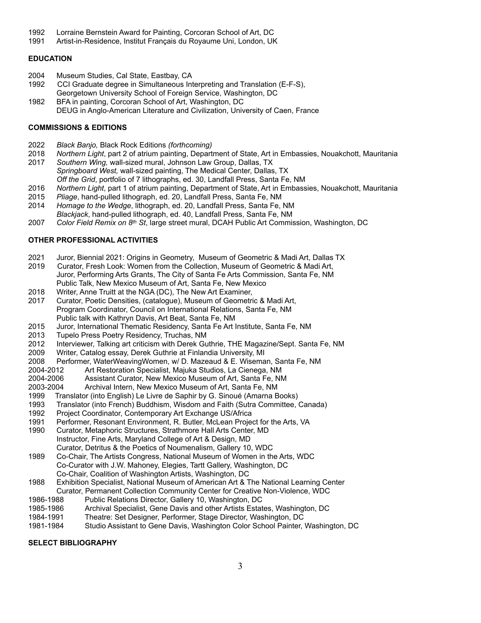- 1992 Lorraine Bernstein Award for Painting, Corcoran School of Art, DC
- 1991 Artist-in-Residence, Institut Français du Royaume Uni, London, UK

### **EDUCATION**

- 2004 Museum Studies, Cal State, Eastbay, CA
- 1992 CCI Graduate degree in Simultaneous Interpreting and Translation (E-F-S), Georgetown University School of Foreign Service, Washington, DC
- 1982 BFA in painting, Corcoran School of Art, Washington, DC DEUG in Anglo-American Literature and Civilization, University of Caen, France

### **COMMISSIONS & EDITIONS**

- 2022 *Black Banjo,* Black Rock Editions *(forthcoming)*
- 2018 *Northern Light*, part 2 of atrium painting, Department of State, Art in Embassies, Nouakchott, Mauritania
- 2017 *Southern Wing,* wall-sized mural, Johnson Law Group, Dallas, TX *Springboard West,* wall-sized painting, The Medical Center, Dallas, TX *Off the Grid*, portfolio of 7 lithographs, ed. 30, Landfall Press, Santa Fe, NM
- 2016 *Northern Light*, part 1 of atrium painting, Department of State, Art in Embassies, Nouakchott, Mauritania
- 2015 *Pliage*, hand-pulled lithograph, ed. 20, Landfall Press, Santa Fe, NM
- 2014 *Homage to the Wedge*, lithograph, ed. 20, Landfall Press, Santa Fe, NM
- *Blackjack*, hand-pulled lithograph, ed. 40, Landfall Press, Santa Fe, NM
- 2007 *Color Field Remix on 8th St*, large street mural, DCAH Public Art Commission, Washington, DC

# **OTHER PROFESSIONAL ACTIVITIES**

- 2021 Juror, Biennial 2021: Origins in Geometry, Museum of Geometric & Madi Art, Dallas TX
- 2019 Curator, Fresh Look: Women from the Collection, Museum of Geometric & Madi Art, Juror, Performing Arts Grants, The City of Santa Fe Arts Commission, Santa Fe, NM Public Talk, New Mexico Museum of Art, Santa Fe, New Mexico
- 2018 Writer, Anne Truitt at the NGA (DC), The New Art Examiner,
- 2017 Curator, Poetic Densities, (catalogue), Museum of Geometric & Madi Art, Program Coordinator, Council on International Relations, Santa Fe, NM Public talk with Kathryn Davis, Art Beat, Santa Fe, NM
- 2015 Juror, International Thematic Residency, Santa Fe Art Institute, Santa Fe, NM
- 2013 Tupelo Press Poetry Residency, Truchas, NM
- 2012 Interviewer, Talking art criticism with Derek Guthrie, THE Magazine/Sept. Santa Fe, NM
- 2009 Writer, Catalog essay, Derek Guthrie at Finlandia University, MI
- 2008 Performer, WaterWeavingWomen, w/ D. Mazeaud & E. Wiseman, Santa Fe, NM
- 2004-2012 Art Restoration Specialist, Majuka Studios, La Cienega, NM
- 2004-2006 Assistant Curator, New Mexico Museum of Art, Santa Fe, NM
- 2003-2004 Archival Intern, New Mexico Museum of Art, Santa Fe, NM
- 1999 Translator (into English) Le Livre de Saphir by G. Sinoué (Amarna Books)
- 1993 Translator (into French) Buddhism, Wisdom and Faith (Sutra Committee, Canada)
- 1992 Project Coordinator, Contemporary Art Exchange US/Africa
- 1991 Performer, Resonant Environment, R. Butler, McLean Project for the Arts, VA
- 1990 Curator, Metaphoric Structures, Strathmore Hall Arts Center, MD Instructor, Fine Arts, Maryland College of Art & Design, MD Curator, Detritus & the Poetics of Noumenalism, Gallery 10, WDC
- 1989 Co-Chair, The Artists Congress, National Museum of Women in the Arts, WDC Co-Curator with J.W. Mahoney, Elegies, Tartt Gallery, Washington, DC Co-Chair, Coalition of Washington Artists, Washington, DC
- 1988 Exhibition Specialist, National Museum of American Art & The National Learning Center Curator, Permanent Collection Community Center for Creative Non-Violence, WDC
- 1986-1988 Public Relations Director, Gallery 10, Washington, DC
- 1985-1986 Archival Specialist, Gene Davis and other Artists Estates, Washington, DC
- 1984-1991 Theatre: Set Designer, Performer, Stage Director, Washington, DC
- 1981-1984 Studio Assistant to Gene Davis, Washington Color School Painter, Washington, DC

### **SELECT BIBLIOGRAPHY**